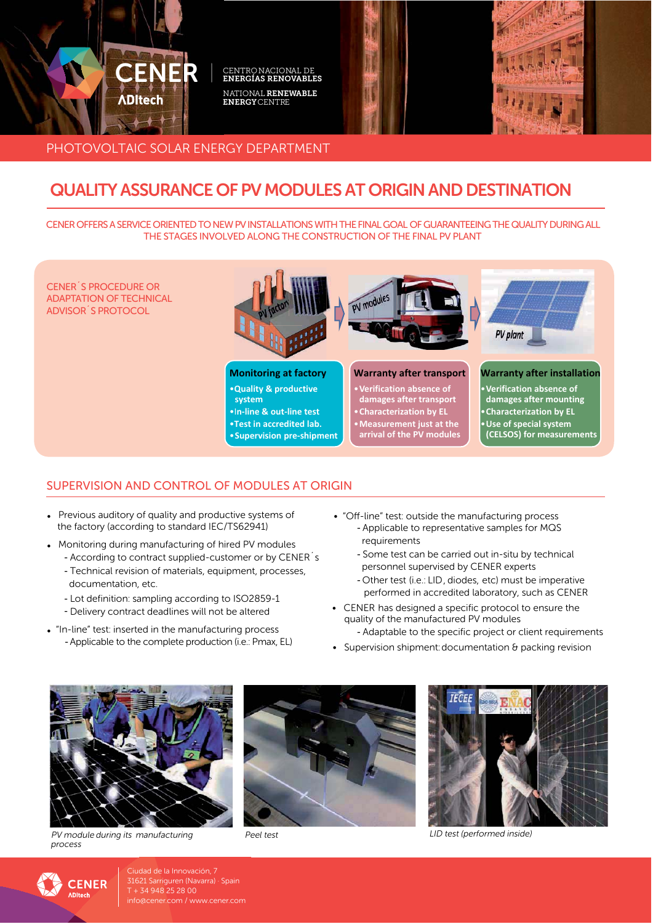

# PHOTOVOLTAIC SOLAR ENERGY DEPARTMENT

# **QUALITY ASSURANCE OF PV MODULES AT ORIGIN AND DESTINATION**

CENFR OFFERS A SERVICE ORIENTED TO NEW PV INSTALLATIONS WITH THE FINAL GOAL OF GUARANTEFING THE QUALITY DURING ALL THE STAGES INVOLVED ALONG THE CONSTRUCTION OF THE FINAL PV PLANT

**CENER S PROCEDURE OR ADAPTATION OF TECHNICAL ADVISOR S PROTOCOL** 

### **Monitoring at factory**

. Quality & productive system

.In-line & out-line test .Test in accredited lab.

• Supervision pre-shipment



#### **Warranty after transport**

- Verification absence of<br>damages after transport<br>• Characterization by EL
- 
- Measurement just at the
- arrival of the PV modules



#### **Warranty after installation**

- Verification absence of<br>damages after mounting • Characterization by EL · Use of special system
- (CELSOS) for measurements

## SUPERVISION AND CONTROL OF MODULES AT ORIGIN

- Previous auditory of quality and productive systems of the factory (according to standard IEC/TS62941)
- Monitoring during manufacturing of hired PV modules
	- According to contract supplied-customer or by CENER's
	- Technical revision of materials, equipment, processes, documentation, etc.
	- Lot definition: sampling according to ISO2859-1
	- Delivery contract deadlines will not be altered
- . "In-line" test: inserted in the manufacturing process - Applicable to the complete production (i.e.: Pmax, EL)
- "Off-line" test: outside the manufacturing process - Applicable to representative samples for MQS requirements
	- Some test can be carried out in-situ by technical personnel supervised by CENER experts
	- Other test (i.e.: LID, diodes, etc) must be imperative performed in accredited laboratory, such as CENER
- CENER has designed a specific protocol to ensure the quality of the manufactured PV modules - Adaptable to the specific project or client requirements
- 
- Supervision shipment: documentation & packing revision



PV module during its manufacturing process



Peel test



LID test (performed inside)



Ciudad de la Innovación, 7 31621 Sarriguren (Navarra) · Spain  $T + 34948252800$ info@cener.com / www.cener.com